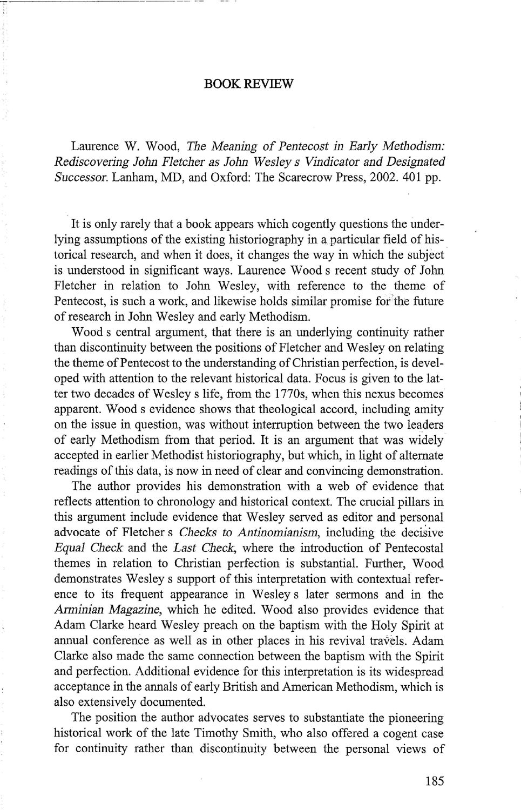## **BOOK REVIEW**

Laurence W. Wood, *The Meaning* of *Pentecost in Early Methodism: Rediscovering John Fletcher as John Wesley s Vindicator and Designated Successor.* Lanham, MD, and Oxford: The Scarecrow Press, 2002. 401 pp.

It is only rarely that a book appears which cogently questions the underlying assumptions of the existing historiography in a particular field of historical research, and when it does, it changes the way in which the subject is understood in significant ways. Laurence Wood s recent study of John Fletcher in relation to John Wesley, with reference to the theme of Pentecost, is such a work, and likewise holds similar promise for the future of research in John Wesley and early Methodism.

Woods central argument, that there is an underlying continuity rather than discontinuity between the positions of Fletcher and Wesley on relating the theme of Pentecost to the understanding of Christian perfection, is developed with attention to the relevant historical data. Focus is given to the latter two decades of Wesley s life, from the 1770s, when this nexus becomes apparent. Wood s evidence shows that theological accord, including amity on the issue in question, was without interruption between the two leaders of early Methodism from that period. It is an argument that was widely accepted in earlier Methodist historiography, but which, in light of alternate readings of this data, is now in need of clear and convincing demonstration.

The author provides his demonstration with a web of evidence that reflects attention to chronology and historical context. The crucial pillars in this argument include evidence that Wesley served as editor and personal advocate of Fletcher s *Checks to Antinomianism,* including the decisive *Equal Check* and the *Last Check,* where the introduction of Pentecostal themes in relation to Christian perfection is substantial. Further, Wood demonstrates Wesley s support of this interpretation with contextual reference to its frequent appearance in Wesley s later sermons and in the *Anninian Magazine,* which he edited. Wood also provides evidence that Adam Clarke heard Wesley preach on the baptism with the Holy Spirit at annual conference as well as in other places in his revival travels. Adam Clarke also made the same connection between the baptism with the Spirit and perfection. Additional evidence for this interpretation is its widespread acceptance in the annals of early British and American Methodism, which is also extensively documented.

The position the author advocates serves to substantiate the pioneering historical work of the late Timothy Smith, who also offered a cogent case for continuity rather than discontinuity between the personal views of